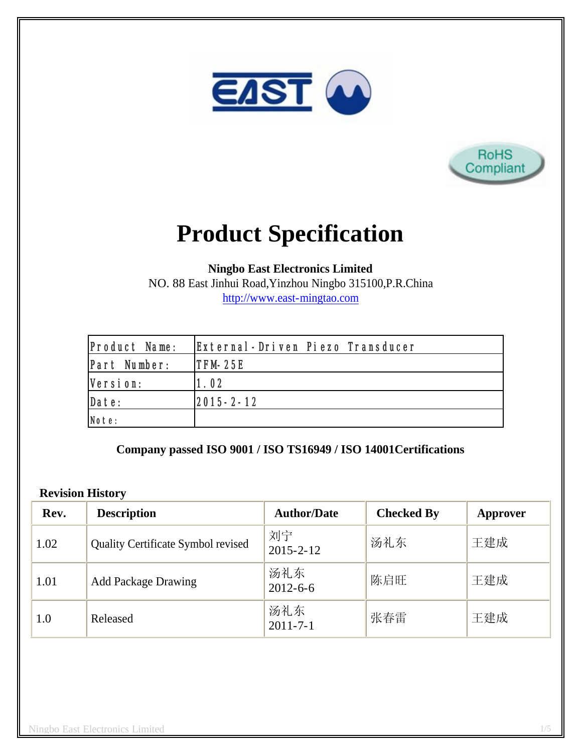



# **Product Specification**

**Ningbo East Electronics Limited**

NO. 88 East Jinhui Road,Yinzhou Ningbo 315100,P.R.China http://www.east-mingtao.com

| Product Name: | External-Driven Piezo Transducer |
|---------------|----------------------------------|
| Part Number:  | $ITFM-25E$                       |
| Version:      | 1.02                             |
| Date:         | 2015-2-12                        |
| Note:         |                                  |

**Company passed ISO 9001 / ISO TS16949 / ISO 14001Certifications**

### **Revision History**

| Rev. | <b>Description</b>                 | <b>Author/Date</b>    | <b>Checked By</b> | Approver |
|------|------------------------------------|-----------------------|-------------------|----------|
| 1.02 | Quality Certificate Symbol revised | 刘宁<br>$2015 - 2 - 12$ | 汤礼东               | 王建成      |
| 1.01 | <b>Add Package Drawing</b>         | 汤礼东<br>$2012 - 6 - 6$ | 陈启旺               | 王建成      |
| 1.0  | Released                           | 汤礼东<br>$2011 - 7 - 1$ | 张春雷               | 王建成      |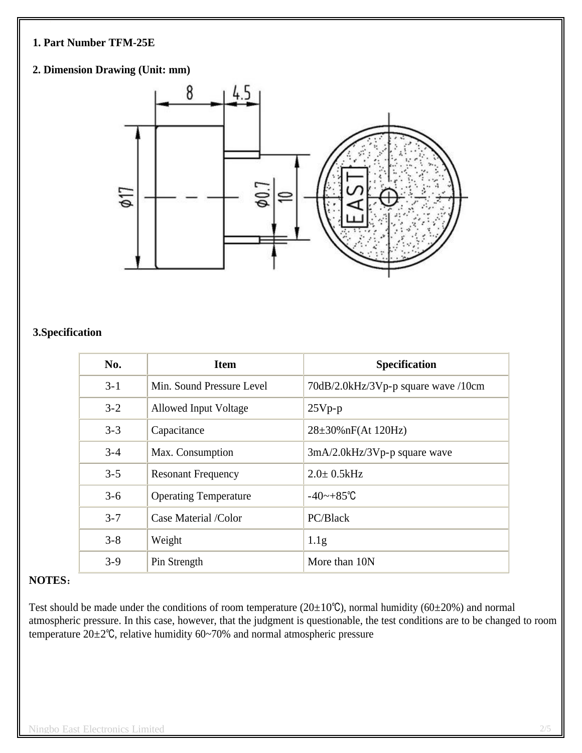### **1. Part Number TFM-25E**

## **2. Dimension Drawing (Unit: mm)**



## **3.Specification**

| No.     | <b>Item</b>                  | <b>Specification</b>                |
|---------|------------------------------|-------------------------------------|
| $3 - 1$ | Min. Sound Pressure Level    | 70dB/2.0kHz/3Vp-p square wave /10cm |
| $3 - 2$ | Allowed Input Voltage        | $25Vp-p$                            |
| $3 - 3$ | Capacitance                  | $28\pm30\%$ nF(At 120Hz)            |
| $3 - 4$ | Max. Consumption             | $3mA/2.0kHz/3Vp-p$ square wave      |
| $3 - 5$ | <b>Resonant Frequency</b>    | $2.0 \pm 0.5$ kHz                   |
| $3 - 6$ | <b>Operating Temperature</b> | $-40$ ~ $+85^{\circ}$ C             |
| $3 - 7$ | Case Material /Color         | PC/Black                            |
| $3 - 8$ | Weight                       | 1.1 <sub>g</sub>                    |
| $3 - 9$ | Pin Strength                 | More than 10N                       |

#### **NOTES**:

Test should be made under the conditions of room temperature ( $20\pm10^{\circ}$ C), normal humidity ( $60\pm20^{\circ}$ ) and normal atmospheric pressure. In this case, however, that the judgment is questionable, the test conditions are to be changed to room temperature 20±2℃, relative humidity 60~70% and normal atmospheric pressure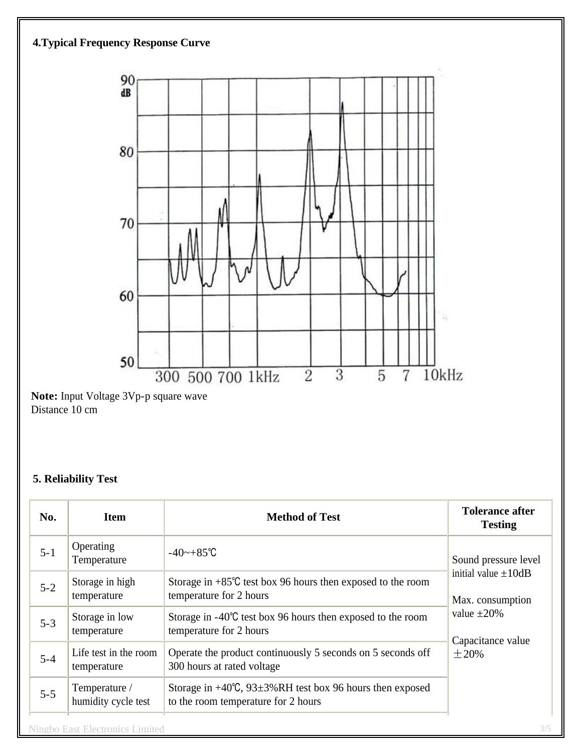



**Note:** Input Voltage 3Vp-p square wave Distance 10 cm

## **5. Reliability Test**

| No.     | <b>Item</b>                            | <b>Method of Test</b>                                                                                           | <b>Tolerance after</b><br><b>Testing</b>                                                                                     |  |
|---------|----------------------------------------|-----------------------------------------------------------------------------------------------------------------|------------------------------------------------------------------------------------------------------------------------------|--|
| $5 - 1$ | Operating<br>Temperature               | $-40$ ~ $+85^{\circ}$ C                                                                                         | Sound pressure level<br>initial value $\pm 10$ dB<br>Max. consumption<br>value $\pm 20\%$<br>Capacitance value<br>$\pm 20\%$ |  |
| $5 - 2$ | Storage in high<br>temperature         | Storage in $+85^{\circ}$ C test box 96 hours then exposed to the room<br>temperature for 2 hours                |                                                                                                                              |  |
| $5 - 3$ | Storage in low<br>temperature          | Storage in $-40^{\circ}$ C test box 96 hours then exposed to the room<br>temperature for 2 hours                |                                                                                                                              |  |
| $5 - 4$ | Life test in the room<br>temperature   | Operate the product continuously 5 seconds on 5 seconds off<br>300 hours at rated voltage                       |                                                                                                                              |  |
| $5 - 5$ | Temperature /<br>humidity cycle test   | Storage in $+40^{\circ}$ C, 93 $\pm$ 3%RH test box 96 hours then exposed<br>to the room temperature for 2 hours |                                                                                                                              |  |
|         | <b>Ningbo East Electronics Limited</b> |                                                                                                                 | 3/5                                                                                                                          |  |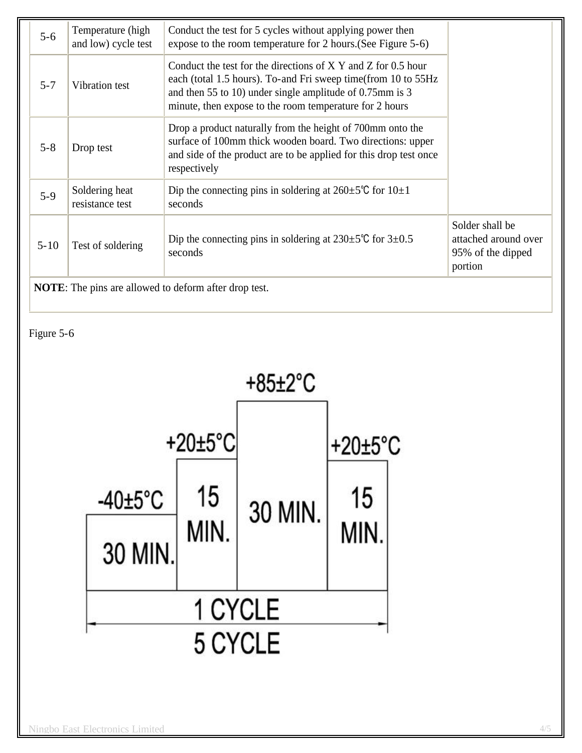| $5 - 6$                                                      | Temperature (high<br>and low) cycle test | Conduct the test for 5 cycles without applying power then<br>expose to the room temperature for 2 hours. (See Figure 5-6)                                                                                                                               |                                                                         |
|--------------------------------------------------------------|------------------------------------------|---------------------------------------------------------------------------------------------------------------------------------------------------------------------------------------------------------------------------------------------------------|-------------------------------------------------------------------------|
| $5 - 7$                                                      | Vibration test                           | Conduct the test for the directions of $X$ Y and Z for 0.5 hour<br>each (total 1.5 hours). To-and Fri sweep time(from 10 to 55Hz<br>and then 55 to 10) under single amplitude of 0.75mm is 3<br>minute, then expose to the room temperature for 2 hours |                                                                         |
| $5 - 8$                                                      | Drop test                                | Drop a product naturally from the height of 700mm onto the<br>surface of 100mm thick wooden board. Two directions: upper<br>and side of the product are to be applied for this drop test once<br>respectively                                           |                                                                         |
| $5-9$                                                        | Soldering heat<br>resistance test        | Dip the connecting pins in soldering at $260 \pm 5^{\circ}$ C for $10 \pm 1$<br>seconds                                                                                                                                                                 |                                                                         |
| $5 - 10$                                                     | Test of soldering                        | Dip the connecting pins in soldering at $230\pm5\degree$ C for $3\pm0.5$<br>seconds                                                                                                                                                                     | Solder shall be<br>attached around over<br>95% of the dipped<br>portion |
| <b>NOTE:</b> The pins are allowed to deform after drop test. |                                          |                                                                                                                                                                                                                                                         |                                                                         |

Figure 5-6